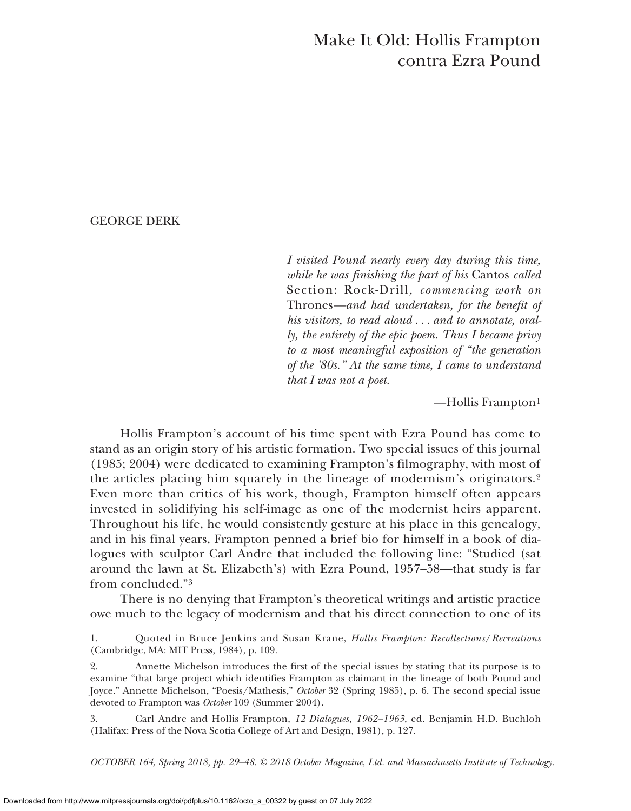# Make It Old: Hollis Frampton contra Ezra Pound

# GEORGE DERK

*I visited Pound nearly every day during this time, while he was finishing the part of his* Cantos *called* Section: Rock-Drill*, commencing work on* Thrones*—and had undertaken, for the benefit of his visitors, to read aloud . . . and to annotate, orally, the entirety of the epic poem. Thus I became privy to a most meaningful exposition of "the generation of the '80s." At the same time, I came to understand that I was not a poet.*

—Hollis Frampton1

Hollis Frampton's account of his time spent with Ezra Pound has come to stand as an origin story of his artistic formation. Two special issues of this journal (1985; 2004) were dedicated to examining Frampton's filmography, with most of the articles placing him squarely in the lineage of modernism's originators.2 Even more than critics of his work, though, Frampton himself often appears invested in solidifying his self-image as one of the modernist heirs apparent. Throughout his life, he would consistently gesture at his place in this genealogy, and in his final years, Frampton penned a brief bio for himself in a book of dialogues with sculptor Carl Andre that included the following line: "Studied (sat around the lawn at St. Elizabeth's) with Ezra Pound, 1957–58—that study is far from concluded."3

There is no denying that Frampton's theoretical writings and artistic practice owe much to the legacy of modernism and that his direct connection to one of its

1. Quoted in Bruce Jenkins and Susan Krane, *Hollis Frampton: Recollections*/*Recreations* (Cambridge, MA: MIT Press, 1984), p. 109.

2. Annette Michelson introduces the first of the special issues by stating that its purpose is to examine "that large project which identifies Frampton as claimant in the lineage of both Pound and Joyce." Annette Michelson, "Poesis/Mathesis," *October* 32 (Spring 1985), p. 6. The second special issue devoted to Frampton was *October* 109 (Summer 2004).

3. Carl Andre and Hollis Frampton, *12 Dialogues, 1962–1963*, ed. Benjamin H.D. Buchloh (Halifax: Press of the Nova Scotia College of Art and Design, 1981), p. 127.

*OCTOBER 164, Spring 2018, pp. 29–48. © 2018 October Magazine, Ltd. and Massachusetts Institute of Technology.*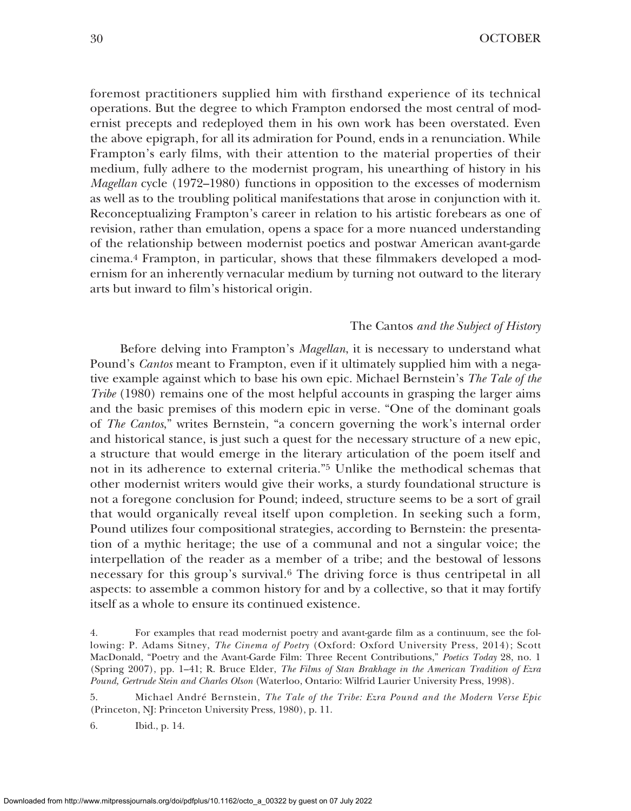foremost practitioners supplied him with firsthand experience of its technical operations. But the degree to which Frampton endorsed the most central of modernist precepts and redeployed them in his own work has been overstated. Even the above epigraph, for all its admiration for Pound, ends in a renunciation. While Frampton's early films, with their attention to the material properties of their medium, fully adhere to the modernist program, his unearthing of history in his *Magellan* cycle (1972–1980) functions in opposition to the excesses of modernism as well as to the troubling political manifestations that arose in conjunction with it. Reconceptualizing Frampton's career in relation to his artistic forebears as one of revision, rather than emulation, opens a space for a more nuanced understanding of the relationship between modernist poetics and postwar American avant-garde cinema.4 Frampton, in particular, shows that these filmmakers developed a modernism for an inherently vernacular medium by turning not outward to the literary arts but inward to film's historical origin.

#### The Cantos *and the Subject of History*

Before delving into Frampton's *Magellan*, it is necessary to understand what Pound's *Cantos* meant to Frampton, even if it ultimately supplied him with a negative example against which to base his own epic. Michael Bernstein's *The Tale of the Tribe* (1980) remains one of the most helpful accounts in grasping the larger aims and the basic premises of this modern epic in verse. "One of the dominant goals of *The Cantos*," writes Bernstein, "a concern governing the work's internal order and historical stance, is just such a quest for the necessary structure of a new epic, a structure that would emerge in the literary articulation of the poem itself and not in its adherence to external criteria."5 Unlike the methodical schemas that other modernist writers would give their works, a sturdy foundational structure is not a foregone conclusion for Pound; indeed, structure seems to be a sort of grail that would organically reveal itself upon completion. In seeking such a form, Pound utilizes four compositional strategies, according to Bernstein: the presentation of a mythic heritage; the use of a communal and not a singular voice; the interpellation of the reader as a member of a tribe; and the bestowal of lessons necessary for this group's survival.6 The driving force is thus centripetal in all aspects: to assemble a common history for and by a collective, so that it may fortify itself as a whole to ensure its continued existence.

5. Michael André Bernstein, *The Tale of the Tribe: Ezra Pound and the Modern Verse Epic* (Princeton, NJ: Princeton University Press, 1980), p. 11.

6. Ibid., p. 14.

<sup>4.</sup> For examples that read modernist poetry and avant-garde film as a continuum, see the following: P. Adams Sitney, *The Cinema of Poetry* (Oxford: Oxford University Press, 2014); Scott MacDonald, "Poetry and the Avant-Garde Film: Three Recent Contributions," *Poetics Today* 28, no. 1 (Spring 2007), pp. 1–41; R. Bruce Elder, *The Films of Stan Brakhage in the American Tradition of Ezra Pound, Gertrude Stein and Charles Olson* (Waterloo, Ontario: Wilfrid Laurier University Press, 1998).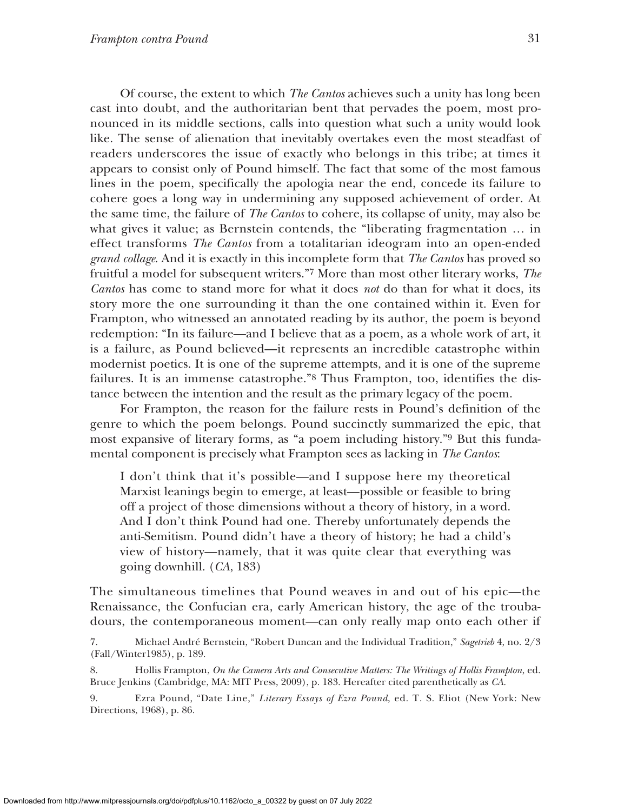Of course, the extent to which *The Cantos* achieves such a unity has long been cast into doubt, and the authoritarian bent that pervades the poem, most pronounced in its middle sections, calls into question what such a unity would look like. The sense of alienation that inevitably overtakes even the most steadfast of readers underscores the issue of exactly who belongs in this tribe; at times it appears to consist only of Pound himself. The fact that some of the most famous lines in the poem, specifically the apologia near the end, concede its failure to cohere goes a long way in undermining any supposed achievement of order. At the same time, the failure of *The Cantos* to cohere, its collapse of unity, may also be what gives it value; as Bernstein contends, the "liberating fragmentation … in effect transforms *The Cantos* from a totalitarian ideogram into an open-ended *grand collage*. And it is exactly in this incomplete form that *The Cantos* has proved so fruitful a model for subsequent writers."7 More than most other literary works, *The Cantos* has come to stand more for what it does *not* do than for what it does, its story more the one surrounding it than the one contained within it. Even for Frampton, who witnessed an annotated reading by its author, the poem is beyond redemption: "In its failure—and I believe that as a poem, as a whole work of art, it is a failure, as Pound believed—it represents an incredible catastrophe within modernist poetics. It is one of the supreme attempts, and it is one of the supreme failures. It is an immense catastrophe."8 Thus Frampton, too, identifies the distance between the intention and the result as the primary legacy of the poem.

For Frampton, the reason for the failure rests in Pound's definition of the genre to which the poem belongs. Pound succinctly summarized the epic, that most expansive of literary forms, as "a poem including history."9 But this fundamental component is precisely what Frampton sees as lacking in *The Cantos*:

I don't think that it's possible—and I suppose here my theoretical Marxist leanings begin to emerge, at least—possible or feasible to bring off a project of those dimensions without a theory of history, in a word. And I don't think Pound had one. Thereby unfortunately depends the anti-Semitism. Pound didn't have a theory of history; he had a child's view of history—namely, that it was quite clear that everything was going downhill. (*CA*, 183)

The simultaneous timelines that Pound weaves in and out of his epic—the Renaissance, the Confucian era, early American history, the age of the troubadours, the contemporaneous moment—can only really map onto each other if

7. Michael André Bernstein, "Robert Duncan and the Individual Tradition," *Sagetrieb* 4, no. 2/3 (Fall/Winter1985), p. 189.

8. Hollis Frampton, *On the Camera Arts and Consecutive Matters: The Writings of Hollis Frampton*, ed. Bruce Jenkins (Cambridge, MA: MIT Press, 2009), p. 183. Hereafter cited parenthetically as *CA*.

9. Ezra Pound, "Date Line," *Literary Essays of Ezra Pound*, ed. T. S. Eliot (New York: New Directions, 1968), p. 86.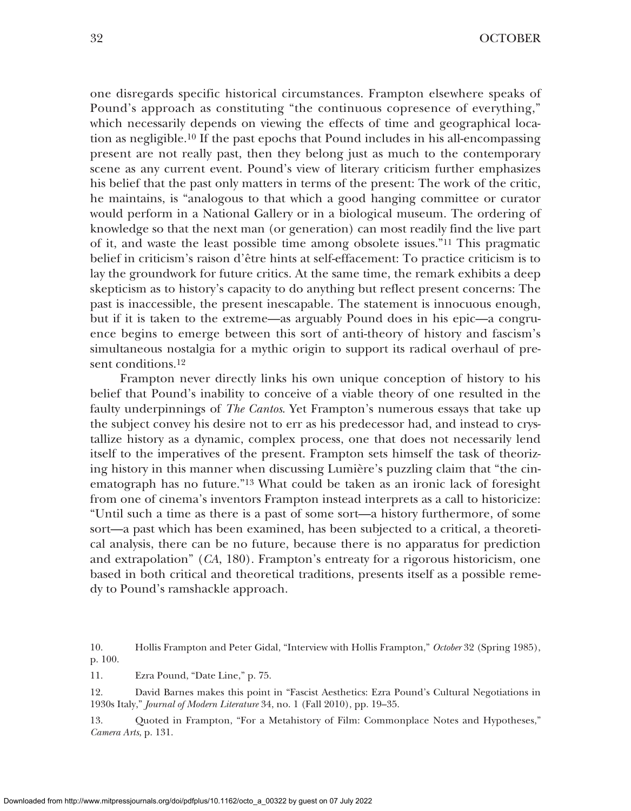one disregards specific historical circumstances. Frampton elsewhere speaks of Pound's approach as constituting "the continuous copresence of everything," which necessarily depends on viewing the effects of time and geographical location as negligible.10 If the past epochs that Pound includes in his all-encompassing present are not really past, then they belong just as much to the contemporary scene as any current event. Pound's view of literary criticism further emphasizes his belief that the past only matters in terms of the present: The work of the critic, he maintains, is "analogous to that which a good hanging committee or curator would perform in a National Gallery or in a biological museum. The ordering of knowledge so that the next man (or generation) can most readily find the live part of it, and waste the least possible time among obsolete issues."11 This pragmatic belief in criticism's raison d'être hints at self-effacement: To practice criticism is to lay the groundwork for future critics. At the same time, the remark exhibits a deep skepticism as to history's capacity to do anything but reflect present concerns: The past is inaccessible, the present inescapable. The statement is innocuous enough, but if it is taken to the extreme—as arguably Pound does in his epic—a congruence begins to emerge between this sort of anti-theory of history and fascism's simultaneous nostalgia for a mythic origin to support its radical overhaul of present conditions.<sup>12</sup>

Frampton never directly links his own unique conception of history to his belief that Pound's inability to conceive of a viable theory of one resulted in the faulty underpinnings of *The Cantos*. Yet Frampton's numerous essays that take up the subject convey his desire not to err as his predecessor had, and instead to crystallize history as a dynamic, complex process, one that does not necessarily lend itself to the imperatives of the present. Frampton sets himself the task of theorizing history in this manner when discussing Lumière's puzzling claim that "the cinematograph has no future."13 What could be taken as an ironic lack of foresight from one of cinema's inventors Frampton instead interprets as a call to historicize: "Until such a time as there is a past of some sort—a history furthermore, of some sort—a past which has been examined, has been subjected to a critical, a theoretical analysis, there can be no future, because there is no apparatus for prediction and extrapolation" (*CA*, 180). Frampton's entreaty for a rigorous historicism, one based in both critical and theoretical traditions, presents itself as a possible remedy to Pound's ramshackle approach.

10. Hollis Frampton and Peter Gidal, "Interview with Hollis Frampton," *October* 32 (Spring 1985), p. 100.

11. Ezra Pound, "Date Line," p. 75.

12. David Barnes makes this point in "Fascist Aesthetics: Ezra Pound's Cultural Negotiations in 1930s Italy," *Journal of Modern Literature* 34, no. 1 (Fall 2010), pp. 19–35.

13. Quoted in Frampton, "For a Metahistory of Film: Commonplace Notes and Hypotheses," *Camera Arts*, p. 131.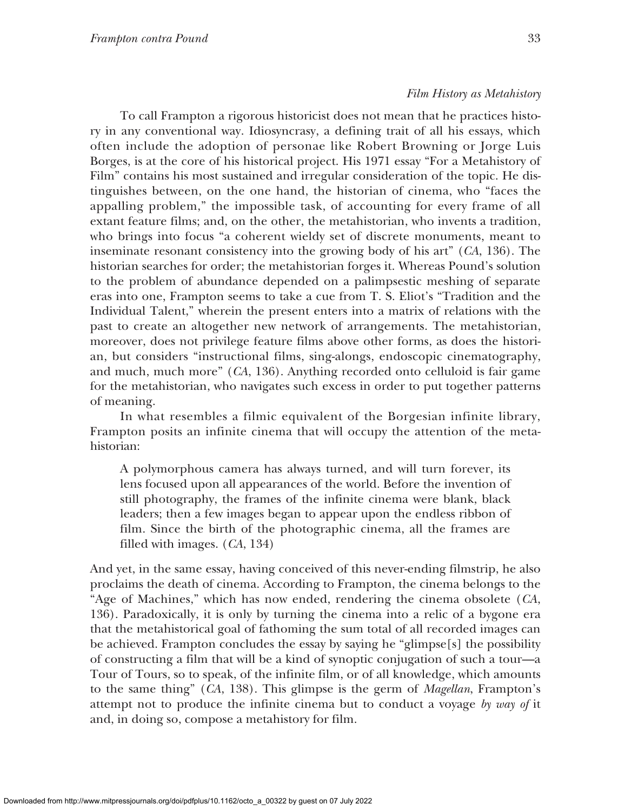To call Frampton a rigorous historicist does not mean that he practices history in any conventional way. Idiosyncrasy, a defining trait of all his essays, which often include the adoption of personae like Robert Browning or Jorge Luis Borges, is at the core of his historical project. His 1971 essay "For a Metahistory of Film" contains his most sustained and irregular consideration of the topic. He distinguishes between, on the one hand, the historian of cinema, who "faces the appalling problem," the impossible task, of accounting for every frame of all extant feature films; and, on the other, the metahistorian, who invents a tradition, who brings into focus "a coherent wieldy set of discrete monuments, meant to inseminate resonant consistency into the growing body of his art" (*CA*, 136). The historian searches for order; the metahistorian forges it. Whereas Pound's solution to the problem of abundance depended on a palimpsestic meshing of separate eras into one, Frampton seems to take a cue from T. S. Eliot's "Tradition and the Individual Talent," wherein the present enters into a matrix of relations with the past to create an altogether new network of arrangements. The metahistorian, moreover, does not privilege feature films above other forms, as does the historian, but considers "instructional films, sing-alongs, endoscopic cinematography, and much, much more" (*CA*, 136). Anything recorded onto celluloid is fair game for the metahistorian, who navigates such excess in order to put together patterns of meaning.

In what resembles a filmic equivalent of the Borgesian infinite library, Frampton posits an infinite cinema that will occupy the attention of the metahistorian:

A polymorphous camera has always turned, and will turn forever, its lens focused upon all appearances of the world. Before the invention of still photography, the frames of the infinite cinema were blank, black leaders; then a few images began to appear upon the endless ribbon of film. Since the birth of the photographic cinema, all the frames are filled with images. (*CA*, 134)

And yet, in the same essay, having conceived of this never-ending filmstrip, he also proclaims the death of cinema. According to Frampton, the cinema belongs to the "Age of Machines," which has now ended, rendering the cinema obsolete (*CA*, 136). Paradoxically, it is only by turning the cinema into a relic of a bygone era that the metahistorical goal of fathoming the sum total of all recorded images can be achieved. Frampton concludes the essay by saying he "glimpse[s] the possibility of constructing a film that will be a kind of synoptic conjugation of such a tour—a Tour of Tours, so to speak, of the infinite film, or of all knowledge, which amounts to the same thing" (*CA*, 138). This glimpse is the germ of *Magellan*, Frampton's attempt not to produce the infinite cinema but to conduct a voyage *by way of* it and, in doing so, compose a metahistory for film.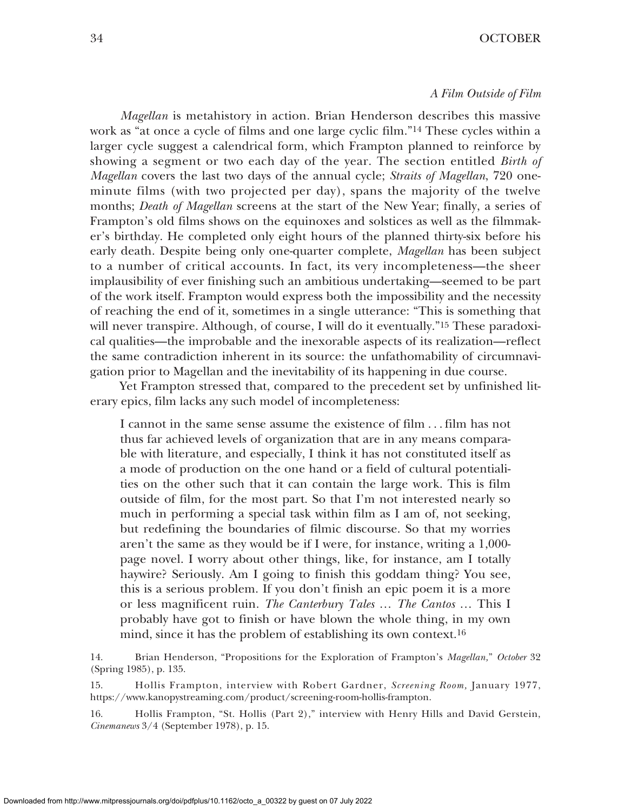# 34 OCTOBER

#### *A Film Outside of Film*

*Magellan* is metahistory in action. Brian Henderson describes this massive work as "at once a cycle of films and one large cyclic film."14 These cycles within a larger cycle suggest a calendrical form, which Frampton planned to reinforce by showing a segment or two each day of the year. The section entitled *Birth of Magellan* covers the last two days of the annual cycle; *Straits of Magellan*, 720 oneminute films (with two projected per day), spans the majority of the twelve months; *Death of Magellan* screens at the start of the New Year; finally, a series of Frampton's old films shows on the equinoxes and solstices as well as the filmmaker's birthday. He completed only eight hours of the planned thirty-six before his early death. Despite being only one-quarter complete, *Magellan* has been subject to a number of critical accounts. In fact, its very incompleteness—the sheer implausibility of ever finishing such an ambitious undertaking—seemed to be part of the work itself. Frampton would express both the impossibility and the necessity of reaching the end of it, sometimes in a single utterance: "This is something that will never transpire. Although, of course, I will do it eventually.<sup>"15</sup> These paradoxical qualities—the improbable and the inexorable aspects of its realization—reflect the same contradiction inherent in its source: the unfathomability of circumnavigation prior to Magellan and the inevitability of its happening in due course.

Yet Frampton stressed that, compared to the precedent set by unfinished literary epics, film lacks any such model of incompleteness:

I cannot in the same sense assume the existence of film . . . film has not thus far achieved levels of organization that are in any means comparable with literature, and especially, I think it has not constituted itself as a mode of production on the one hand or a field of cultural potentialities on the other such that it can contain the large work. This is film outside of film, for the most part. So that I'm not interested nearly so much in performing a special task within film as I am of, not seeking, but redefining the boundaries of filmic discourse. So that my worries aren't the same as they would be if I were, for instance, writing a 1,000 page novel. I worry about other things, like, for instance, am I totally haywire? Seriously. Am I going to finish this goddam thing? You see, this is a serious problem. If you don't finish an epic poem it is a more or less magnificent ruin. *The Canterbury Tales* … *The Cantos* … This I probably have got to finish or have blown the whole thing, in my own mind, since it has the problem of establishing its own context.16

14. Brian Henderson, "Propositions for the Exploration of Frampton's *Magellan,*" *October* 32 (Spring 1985), p. 135.

15. Hollis Frampton, interview with Robert Gardner, *Screening Room,* January 1977, https://www.kanopystreaming.com/product/screening-room-hollis-frampton.

16. Hollis Frampton, "St. Hollis (Part 2)," interview with Henry Hills and David Gerstein, *Cinemanews* 3/4 (September 1978), p. 15.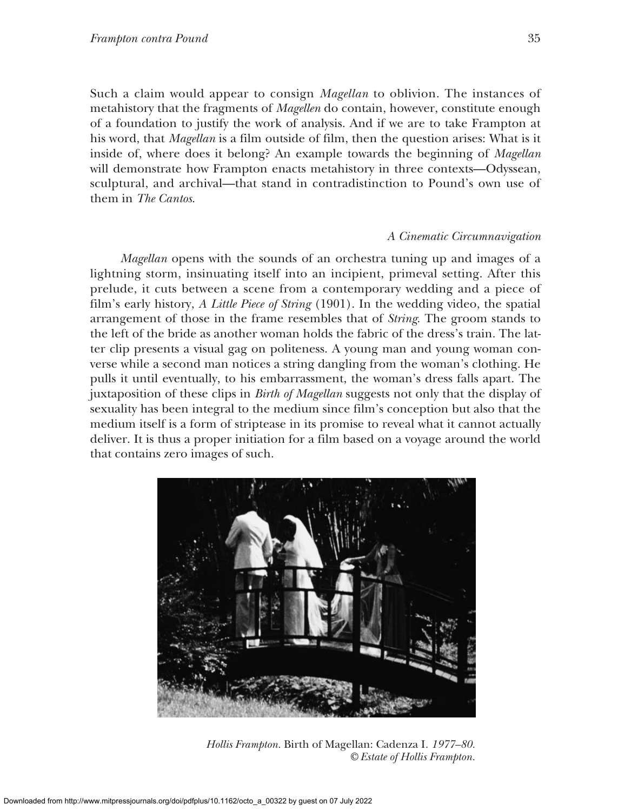Such a claim would appear to consign *Magellan* to oblivion. The instances of metahistory that the fragments of *Magellen* do contain, however, constitute enough of a foundation to justify the work of analysis. And if we are to take Frampton at his word, that *Magellan* is a film outside of film, then the question arises: What is it inside of, where does it belong? An example towards the beginning of *Magellan* will demonstrate how Frampton enacts metahistory in three contexts—Odyssean, sculptural, and archival—that stand in contradistinction to Pound's own use of them in *The Cantos*.

## *A Cinematic Circumnavigation*

*Magellan* opens with the sounds of an orchestra tuning up and images of a lightning storm, insinuating itself into an incipient, primeval setting. After this prelude, it cuts between a scene from a contemporary wedding and a piece of film's early history, *A Little Piece of String* (1901). In the wedding video, the spatial arrangement of those in the frame resembles that of *String*. The groom stands to the left of the bride as another woman holds the fabric of the dress's train. The latter clip presents a visual gag on politeness. A young man and young woman converse while a second man notices a string dangling from the woman's clothing. He pulls it until eventually, to his embarrassment, the woman's dress falls apart. The juxtaposition of these clips in *Birth of Magellan* suggests not only that the display of sexuality has been integral to the medium since film's conception but also that the medium itself is a form of striptease in its promise to reveal what it cannot actually deliver. It is thus a proper initiation for a film based on a voyage around the world that contains zero images of such.



*Hollis Frampton.* Birth of Magellan: Cadenza I*. 1977–80. © Estate of Hollis Frampton.*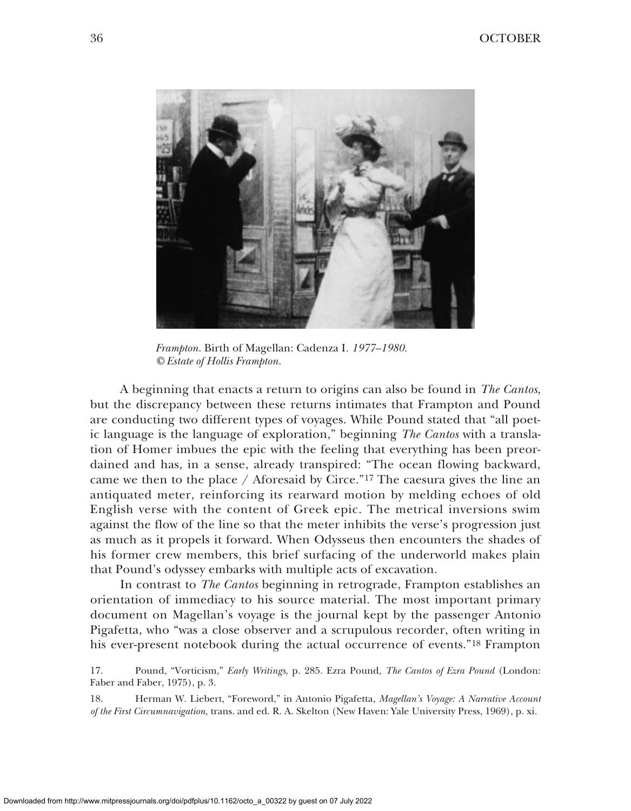

*Frampton.* Birth of Magellan: Cadenza I*. 1977–1980. © Estate of Hollis Frampton.*

A beginning that enacts a return to origins can also be found in *The Cantos*, but the discrepancy between these returns intimates that Frampton and Pound are conducting two different types of voyages. While Pound stated that "all poetic language is the language of exploration," beginning *The Cantos* with a translation of Homer imbues the epic with the feeling that everything has been preordained and has, in a sense, already transpired: "The ocean flowing backward, came we then to the place / Aforesaid by Circe."17 The caesura gives the line an antiquated meter, reinforcing its rearward motion by melding echoes of old English verse with the content of Greek epic. The metrical inversions swim against the flow of the line so that the meter inhibits the verse's progression just as much as it propels it forward. When Odysseus then encounters the shades of his former crew members, this brief surfacing of the underworld makes plain that Pound's odyssey embarks with multiple acts of excavation.

In contrast to *The Cantos* beginning in retrograde, Frampton establishes an orientation of immediacy to his source material. The most important primary document on Magellan's voyage is the journal kept by the passenger Antonio Pigafetta, who "was a close observer and a scrupulous recorder, often writing in his ever-present notebook during the actual occurrence of events."18 Frampton

17. Pound, "Vorticism," *Early Writings*, p. 285. Ezra Pound, *The Cantos of Ezra Pound* (London: Faber and Faber, 1975), p. 3.

18. Herman W. Liebert, "Foreword," in Antonio Pigafetta, *Magellan's Voyage: A Narrative Account of the First Circumnavigation*, trans. and ed. R. A. Skelton (New Haven: Yale University Press, 1969), p. xi.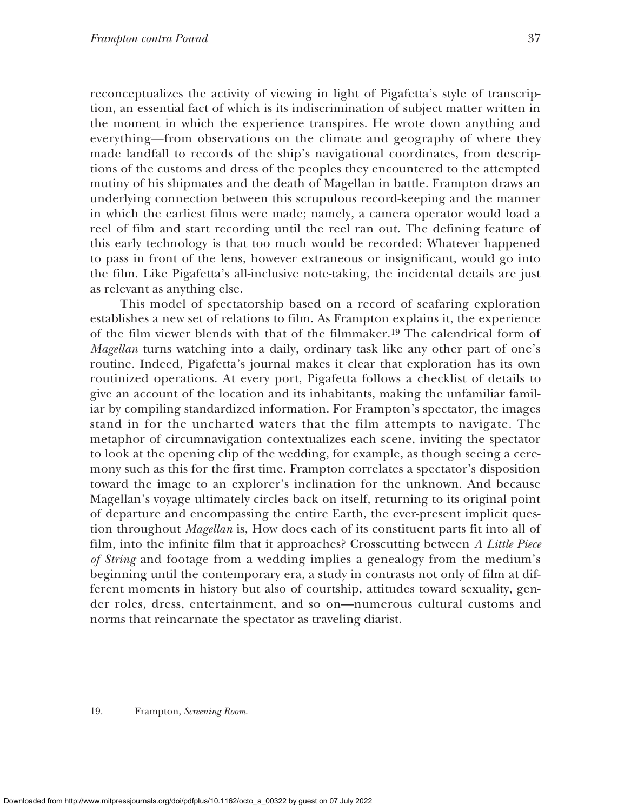reconceptualizes the activity of viewing in light of Pigafetta's style of transcription, an essential fact of which is its indiscrimination of subject matter written in the moment in which the experience transpires. He wrote down anything and everything—from observations on the climate and geography of where they made landfall to records of the ship's navigational coordinates, from descriptions of the customs and dress of the peoples they encountered to the attempted mutiny of his shipmates and the death of Magellan in battle. Frampton draws an underlying connection between this scrupulous record-keeping and the manner in which the earliest films were made; namely, a camera operator would load a reel of film and start recording until the reel ran out. The defining feature of this early technology is that too much would be recorded: Whatever happened to pass in front of the lens, however extraneous or insignificant, would go into the film. Like Pigafetta's all-inclusive note-taking, the incidental details are just as relevant as anything else.

This model of spectatorship based on a record of seafaring exploration establishes a new set of relations to film. As Frampton explains it, the experience of the film viewer blends with that of the filmmaker.19 The calendrical form of *Magellan* turns watching into a daily, ordinary task like any other part of one's routine. Indeed, Pigafetta's journal makes it clear that exploration has its own routinized operations. At every port, Pigafetta follows a checklist of details to give an account of the location and its inhabitants, making the unfamiliar familiar by compiling standardized information. For Frampton's spectator, the images stand in for the uncharted waters that the film attempts to navigate. The metaphor of circumnavigation contextualizes each scene, inviting the spectator to look at the opening clip of the wedding, for example, as though seeing a ceremony such as this for the first time. Frampton correlates a spectator's disposition toward the image to an explorer's inclination for the unknown. And because Magellan's voyage ultimately circles back on itself, returning to its original point of departure and encompassing the entire Earth, the ever-present implicit question throughout *Magellan* is, How does each of its constituent parts fit into all of film, into the infinite film that it approaches? Crosscutting between *A Little Piece of String* and footage from a wedding implies a genealogy from the medium's beginning until the contemporary era, a study in contrasts not only of film at different moments in history but also of courtship, attitudes toward sexuality, gender roles, dress, entertainment, and so on—numerous cultural customs and norms that reincarnate the spectator as traveling diarist.

19. Frampton, *Screening Room*.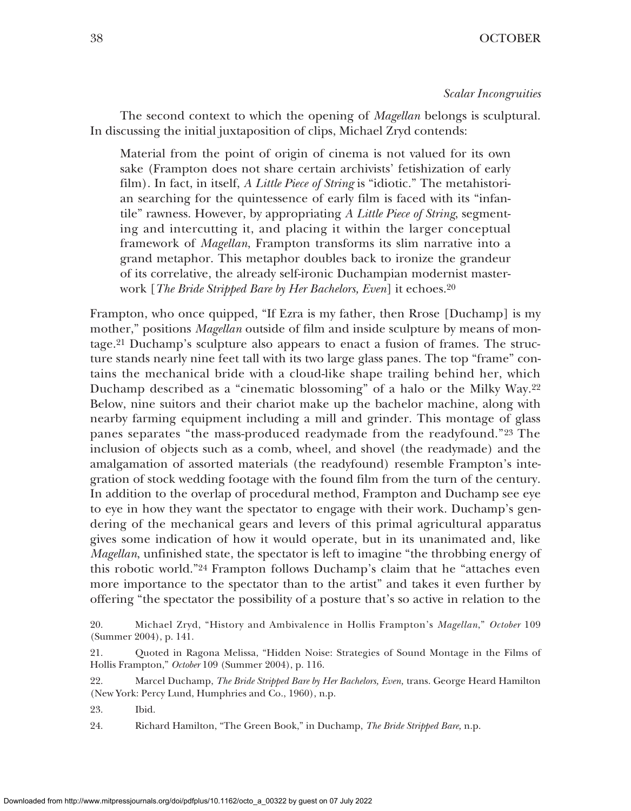The second context to which the opening of *Magellan* belongs is sculptural. In discussing the initial juxtaposition of clips, Michael Zryd contends:

Material from the point of origin of cinema is not valued for its own sake (Frampton does not share certain archivists' fetishization of early film). In fact, in itself, *A Little Piece of String* is "idiotic." The metahistorian searching for the quintessence of early film is faced with its "infantile" rawness. However, by appropriating *A Little Piece of String*, segmenting and intercutting it, and placing it within the larger conceptual framework of *Magellan*, Frampton transforms its slim narrative into a grand metaphor. This metaphor doubles back to ironize the grandeur of its correlative, the already self-ironic Duchampian modernist masterwork [*The Bride Stripped Bare by Her Bachelors, Even*] it echoes.20

Frampton, who once quipped, "If Ezra is my father, then Rrose [Duchamp] is my mother," positions *Magellan* outside of film and inside sculpture by means of montage.21 Duchamp's sculpture also appears to enact a fusion of frames. The structure stands nearly nine feet tall with its two large glass panes. The top "frame" contains the mechanical bride with a cloud-like shape trailing behind her, which Duchamp described as a "cinematic blossoming" of a halo or the Milky Way.22 Below, nine suitors and their chariot make up the bachelor machine, along with nearby farming equipment including a mill and grinder. This montage of glass panes separates "the mass-produced readymade from the readyfound."23 The inclusion of objects such as a comb, wheel, and shovel (the readymade) and the amalgamation of assorted materials (the readyfound) resemble Frampton's integration of stock wedding footage with the found film from the turn of the century. In addition to the overlap of procedural method, Frampton and Duchamp see eye to eye in how they want the spectator to engage with their work. Duchamp's gendering of the mechanical gears and levers of this primal agricultural apparatus gives some indication of how it would operate, but in its unanimated and, like *Magellan*, unfinished state, the spectator is left to imagine "the throbbing energy of this robotic world."24 Frampton follows Duchamp's claim that he "attaches even more importance to the spectator than to the artist" and takes it even further by offering "the spectator the possibility of a posture that's so active in relation to the

23. Ibid.

24. Richard Hamilton, "The Green Book," in Duchamp, *The Bride Stripped Bare,* n.p.

<sup>20.</sup> Michael Zryd, "History and Ambivalence in Hollis Frampton's *Magellan*," *October* 109 (Summer 2004), p. 141.

<sup>21.</sup> Quoted in Ragona Melissa, "Hidden Noise: Strategies of Sound Montage in the Films of Hollis Frampton," *October* 109 (Summer 2004), p. 116.

<sup>22.</sup> Marcel Duchamp, *The Bride Stripped Bare by Her Bachelors, Even,* trans. George Heard Hamilton (New York: Percy Lund, Humphries and Co., 1960), n.p.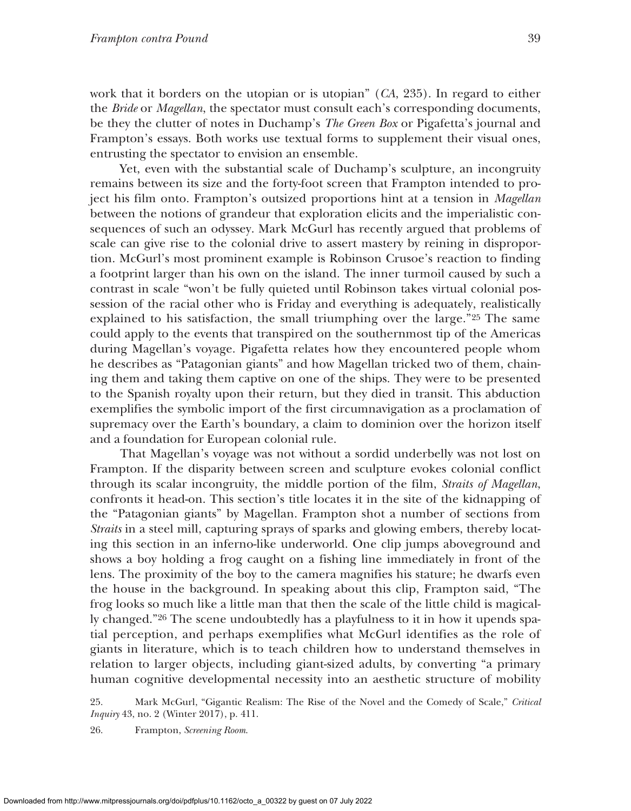work that it borders on the utopian or is utopian" (*CA*, 235). In regard to either the *Bride* or *Magellan*, the spectator must consult each's corresponding documents, be they the clutter of notes in Duchamp's *The Green Box* or Pigafetta's journal and Frampton's essays. Both works use textual forms to supplement their visual ones, entrusting the spectator to envision an ensemble.

Yet, even with the substantial scale of Duchamp's sculpture, an incongruity remains between its size and the forty-foot screen that Frampton intended to project his film onto. Frampton's outsized proportions hint at a tension in *Magellan* between the notions of grandeur that exploration elicits and the imperialistic consequences of such an odyssey. Mark McGurl has recently argued that problems of scale can give rise to the colonial drive to assert mastery by reining in disproportion. McGurl's most prominent example is Robinson Crusoe's reaction to finding a footprint larger than his own on the island. The inner turmoil caused by such a contrast in scale "won't be fully quieted until Robinson takes virtual colonial possession of the racial other who is Friday and everything is adequately, realistically explained to his satisfaction, the small triumphing over the large."25 The same could apply to the events that transpired on the southernmost tip of the Americas during Magellan's voyage. Pigafetta relates how they encountered people whom he describes as "Patagonian giants" and how Magellan tricked two of them, chaining them and taking them captive on one of the ships. They were to be presented to the Spanish royalty upon their return, but they died in transit. This abduction exemplifies the symbolic import of the first circumnavigation as a proclamation of supremacy over the Earth's boundary, a claim to dominion over the horizon itself and a foundation for European colonial rule.

That Magellan's voyage was not without a sordid underbelly was not lost on Frampton. If the disparity between screen and sculpture evokes colonial conflict through its scalar incongruity, the middle portion of the film, *Straits of Magellan*, confronts it head-on. This section's title locates it in the site of the kidnapping of the "Patagonian giants" by Magellan. Frampton shot a number of sections from *Straits* in a steel mill, capturing sprays of sparks and glowing embers, thereby locating this section in an inferno-like underworld. One clip jumps aboveground and shows a boy holding a frog caught on a fishing line immediately in front of the lens. The proximity of the boy to the camera magnifies his stature; he dwarfs even the house in the background. In speaking about this clip, Frampton said, "The frog looks so much like a little man that then the scale of the little child is magically changed."26 The scene undoubtedly has a playfulness to it in how it upends spatial perception, and perhaps exemplifies what McGurl identifies as the role of giants in literature, which is to teach children how to understand themselves in relation to larger objects, including giant-sized adults, by converting "a primary human cognitive developmental necessity into an aesthetic structure of mobility

25. Mark McGurl, "Gigantic Realism: The Rise of the Novel and the Comedy of Scale," *Critical Inquiry* 43, no. 2 (Winter 2017), p. 411.

26. Frampton, *Screening Room*.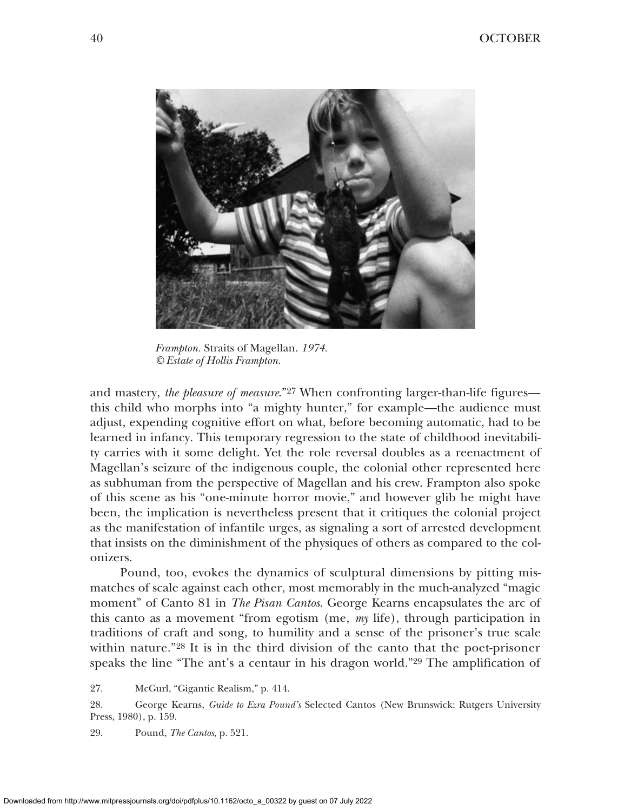

*Frampton.* Straits of Magellan. *1974. © Estate of Hollis Frampton.*

and mastery, *the pleasure of measure*."27 When confronting larger-than-life figures this child who morphs into "a mighty hunter," for example—the audience must adjust, expending cognitive effort on what, before becoming automatic, had to be learned in infancy. This temporary regression to the state of childhood inevitability carries with it some delight. Yet the role reversal doubles as a reenactment of Magellan's seizure of the indigenous couple, the colonial other represented here as subhuman from the perspective of Magellan and his crew. Frampton also spoke of this scene as his "one-minute horror movie," and however glib he might have been, the implication is nevertheless present that it critiques the colonial project as the manifestation of infantile urges, as signaling a sort of arrested development that insists on the diminishment of the physiques of others as compared to the colonizers.

Pound, too, evokes the dynamics of sculptural dimensions by pitting mismatches of scale against each other, most memorably in the much-analyzed "magic moment" of Canto 81 in *The Pisan Cantos*. George Kearns encapsulates the arc of this canto as a movement "from egotism (me, *my* life), through participation in traditions of craft and song, to humility and a sense of the prisoner's true scale within nature."28 It is in the third division of the canto that the poet-prisoner speaks the line "The ant's a centaur in his dragon world."29 The amplification of

27. McGurl, "Gigantic Realism," p. 414.

28. George Kearns, *Guide to Ezra Pound's* Selected Cantos (New Brunswick: Rutgers University Press, 1980), p. 159.

29. Pound, *The Cantos*, p. 521.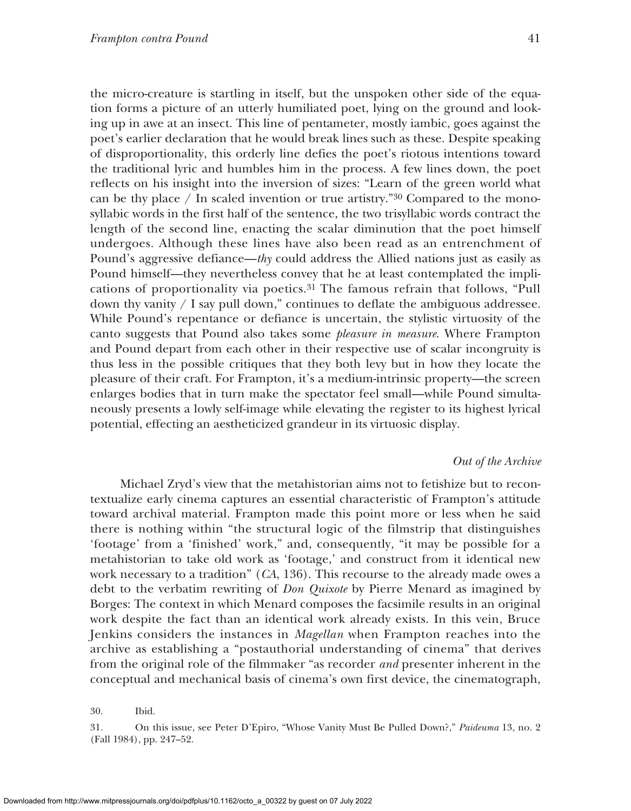the micro-creature is startling in itself, but the unspoken other side of the equation forms a picture of an utterly humiliated poet, lying on the ground and looking up in awe at an insect. This line of pentameter, mostly iambic, goes against the poet's earlier declaration that he would break lines such as these. Despite speaking of disproportionality, this orderly line defies the poet's riotous intentions toward the traditional lyric and humbles him in the process. A few lines down, the poet reflects on his insight into the inversion of sizes: "Learn of the green world what can be thy place  $/$  In scaled invention or true artistry."<sup>30</sup> Compared to the monosyllabic words in the first half of the sentence, the two trisyllabic words contract the length of the second line, enacting the scalar diminution that the poet himself undergoes. Although these lines have also been read as an entrenchment of Pound's aggressive defiance—*thy* could address the Allied nations just as easily as Pound himself—they nevertheless convey that he at least contemplated the implications of proportionality via poetics.31 The famous refrain that follows, "Pull down thy vanity  $\ell$  I say pull down," continues to deflate the ambiguous addressee. While Pound's repentance or defiance is uncertain, the stylistic virtuosity of the canto suggests that Pound also takes some *pleasure in measure*. Where Frampton and Pound depart from each other in their respective use of scalar incongruity is thus less in the possible critiques that they both levy but in how they locate the pleasure of their craft. For Frampton, it's a medium-intrinsic property—the screen enlarges bodies that in turn make the spectator feel small—while Pound simultaneously presents a lowly self-image while elevating the register to its highest lyrical potential, effecting an aestheticized grandeur in its virtuosic display.

## *Out of the Archive*

Michael Zryd's view that the metahistorian aims not to fetishize but to recontextualize early cinema captures an essential characteristic of Frampton's attitude toward archival material. Frampton made this point more or less when he said there is nothing within "the structural logic of the filmstrip that distinguishes 'footage' from a 'finished' work," and, consequently, "it may be possible for a metahistorian to take old work as 'footage,' and construct from it identical new work necessary to a tradition" (*CA*, 136). This recourse to the already made owes a debt to the verbatim rewriting of *Don Quixote* by Pierre Menard as imagined by Borges: The context in which Menard composes the facsimile results in an original work despite the fact than an identical work already exists. In this vein, Bruce Jenkins considers the instances in *Magellan* when Frampton reaches into the archive as establishing a "postauthorial understanding of cinema" that derives from the original role of the filmmaker "as recorder *and* presenter inherent in the conceptual and mechanical basis of cinema's own first device, the cinematograph,

<sup>30.</sup> Ibid.

<sup>31.</sup> On this issue, see Peter D'Epiro, "Whose Vanity Must Be Pulled Down?," *Paideuma* 13, no. 2 (Fall 1984), pp. 247–52.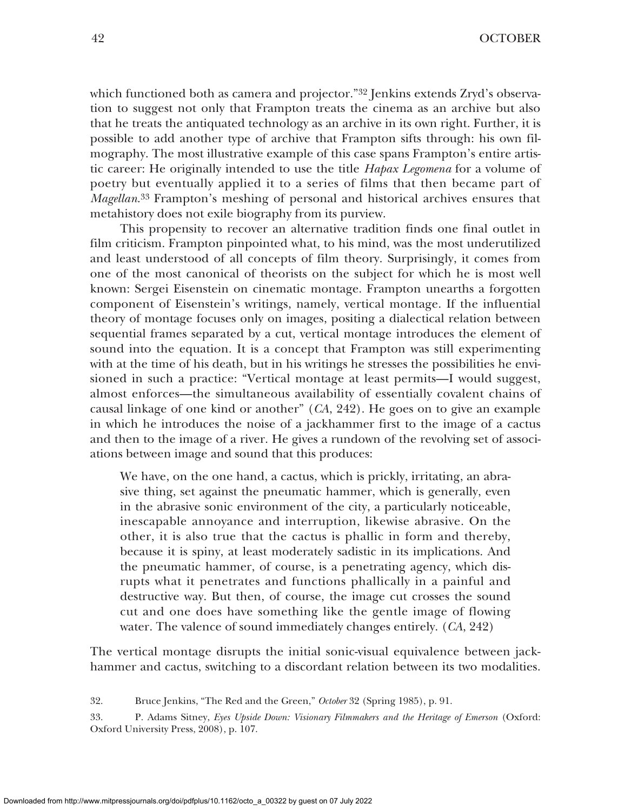which functioned both as camera and projector."<sup>32</sup> Jenkins extends Zryd's observation to suggest not only that Frampton treats the cinema as an archive but also that he treats the antiquated technology as an archive in its own right. Further, it is possible to add another type of archive that Frampton sifts through: his own filmography. The most illustrative example of this case spans Frampton's entire artistic career: He originally intended to use the title *Hapax Legomena* for a volume of poetry but eventually applied it to a series of films that then became part of *Magellan*.33 Frampton's meshing of personal and historical archives ensures that metahistory does not exile biography from its purview.

This propensity to recover an alternative tradition finds one final outlet in film criticism. Frampton pinpointed what, to his mind, was the most underutilized and least understood of all concepts of film theory. Surprisingly, it comes from one of the most canonical of theorists on the subject for which he is most well known: Sergei Eisenstein on cinematic montage. Frampton unearths a forgotten component of Eisenstein's writings, namely, vertical montage. If the influential theory of montage focuses only on images, positing a dialectical relation between sequential frames separated by a cut, vertical montage introduces the element of sound into the equation. It is a concept that Frampton was still experimenting with at the time of his death, but in his writings he stresses the possibilities he envisioned in such a practice: "Vertical montage at least permits—I would suggest, almost enforces—the simultaneous availability of essentially covalent chains of causal linkage of one kind or another" (*CA*, 242). He goes on to give an example in which he introduces the noise of a jackhammer first to the image of a cactus and then to the image of a river. He gives a rundown of the revolving set of associations between image and sound that this produces:

We have, on the one hand, a cactus, which is prickly, irritating, an abrasive thing, set against the pneumatic hammer, which is generally, even in the abrasive sonic environment of the city, a particularly noticeable, inescapable annoyance and interruption, likewise abrasive. On the other, it is also true that the cactus is phallic in form and thereby, because it is spiny, at least moderately sadistic in its implications. And the pneumatic hammer, of course, is a penetrating agency, which disrupts what it penetrates and functions phallically in a painful and destructive way. But then, of course, the image cut crosses the sound cut and one does have something like the gentle image of flowing water. The valence of sound immediately changes entirely. (*CA*, 242)

The vertical montage disrupts the initial sonic-visual equivalence between jackhammer and cactus, switching to a discordant relation between its two modalities.

<sup>32.</sup> Bruce Jenkins, "The Red and the Green," *October* 32 (Spring 1985), p. 91.

<sup>33.</sup> P. Adams Sitney, *Eyes Upside Down: Visionary Filmmakers and the Heritage of Emerson* (Oxford: Oxford University Press, 2008), p. 107.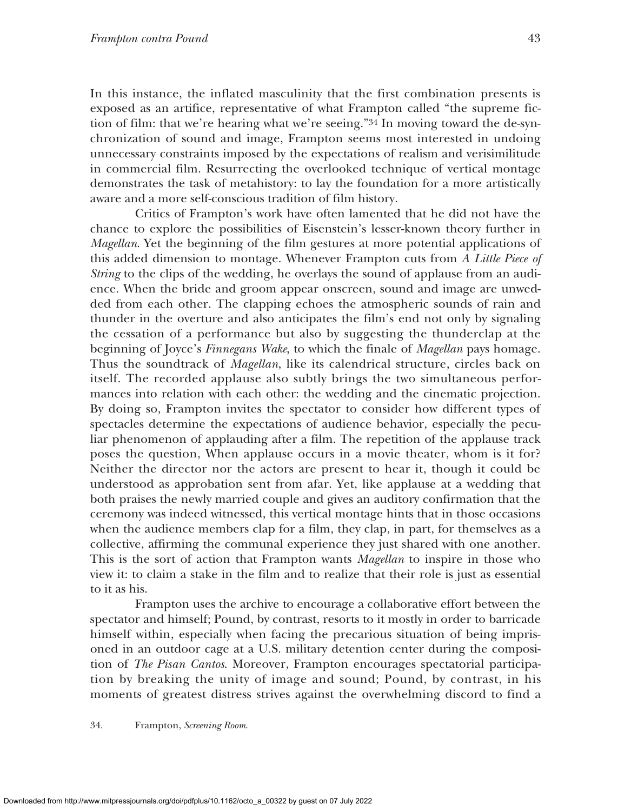In this instance, the inflated masculinity that the first combination presents is exposed as an artifice, representative of what Frampton called "the supreme fiction of film: that we're hearing what we're seeing."34 In moving toward the de-synchronization of sound and image, Frampton seems most interested in undoing unnecessary constraints imposed by the expectations of realism and verisimilitude in commercial film. Resurrecting the overlooked technique of vertical montage demonstrates the task of metahistory: to lay the foundation for a more artistically aware and a more self-conscious tradition of film history.

Critics of Frampton's work have often lamented that he did not have the chance to explore the possibilities of Eisenstein's lesser-known theory further in *Magellan*. Yet the beginning of the film gestures at more potential applications of this added dimension to montage. Whenever Frampton cuts from *A Little Piece of String* to the clips of the wedding, he overlays the sound of applause from an audience. When the bride and groom appear onscreen, sound and image are unwedded from each other. The clapping echoes the atmospheric sounds of rain and thunder in the overture and also anticipates the film's end not only by signaling the cessation of a performance but also by suggesting the thunderclap at the beginning of Joyce's *Finnegans Wake*, to which the finale of *Magellan* pays homage. Thus the soundtrack of *Magellan*, like its calendrical structure, circles back on itself. The recorded applause also subtly brings the two simultaneous performances into relation with each other: the wedding and the cinematic projection. By doing so, Frampton invites the spectator to consider how different types of spectacles determine the expectations of audience behavior, especially the peculiar phenomenon of applauding after a film. The repetition of the applause track poses the question, When applause occurs in a movie theater, whom is it for? Neither the director nor the actors are present to hear it, though it could be understood as approbation sent from afar. Yet, like applause at a wedding that both praises the newly married couple and gives an auditory confirmation that the ceremony was indeed witnessed, this vertical montage hints that in those occasions when the audience members clap for a film, they clap, in part, for themselves as a collective, affirming the communal experience they just shared with one another. This is the sort of action that Frampton wants *Magellan* to inspire in those who view it: to claim a stake in the film and to realize that their role is just as essential to it as his.

Frampton uses the archive to encourage a collaborative effort between the spectator and himself; Pound, by contrast, resorts to it mostly in order to barricade himself within, especially when facing the precarious situation of being imprisoned in an outdoor cage at a U.S. military detention center during the composition of *The Pisan Cantos*. Moreover, Frampton encourages spectatorial participation by breaking the unity of image and sound; Pound, by contrast, in his moments of greatest distress strives against the overwhelming discord to find a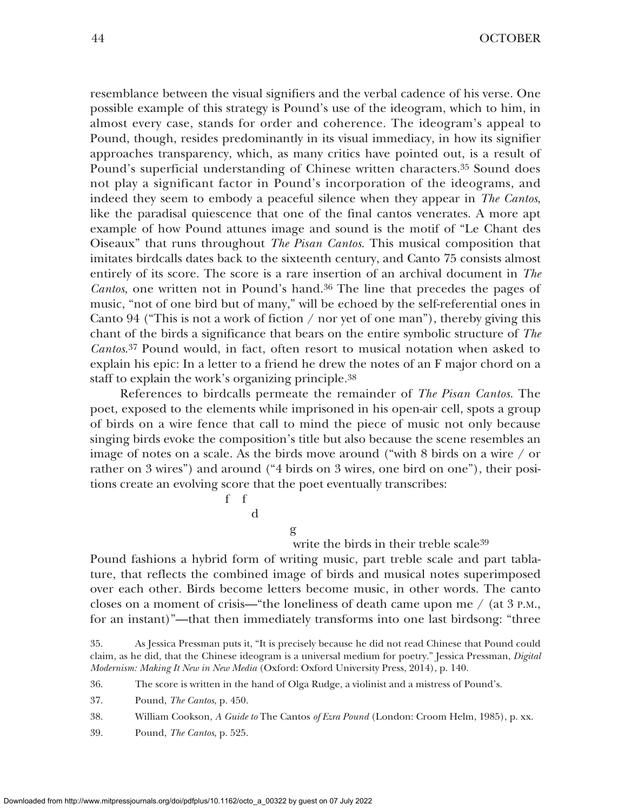resemblance between the visual signifiers and the verbal cadence of his verse. One possible example of this strategy is Pound's use of the ideogram, which to him, in almost every case, stands for order and coherence. The ideogram's appeal to Pound, though, resides predominantly in its visual immediacy, in how its signifier approaches transparency, which, as many critics have pointed out, is a result of Pound's superficial understanding of Chinese written characters.35 Sound does not play a significant factor in Pound's incorporation of the ideograms, and indeed they seem to embody a peaceful silence when they appear in *The Cantos*, like the paradisal quiescence that one of the final cantos venerates. A more apt example of how Pound attunes image and sound is the motif of "Le Chant des Oiseaux" that runs throughout *The Pisan Cantos*. This musical composition that imitates birdcalls dates back to the sixteenth century, and Canto 75 consists almost entirely of its score. The score is a rare insertion of an archival document in *The Cantos*, one written not in Pound's hand.36 The line that precedes the pages of music, "not of one bird but of many," will be echoed by the self-referential ones in Canto 94 ("This is not a work of fiction  $/$  nor yet of one man"), thereby giving this chant of the birds a significance that bears on the entire symbolic structure of *The Cantos*.37 Pound would, in fact, often resort to musical notation when asked to explain his epic: In a letter to a friend he drew the notes of an F major chord on a staff to explain the work's organizing principle.38

References to birdcalls permeate the remainder of *The Pisan Cantos*. The poet, exposed to the elements while imprisoned in his open-air cell, spots a group of birds on a wire fence that call to mind the piece of music not only because singing birds evoke the composition's title but also because the scene resembles an image of notes on a scale. As the birds move around ("with 8 birds on a wire / or rather on 3 wires") and around ("4 birds on 3 wires, one bird on one"), their positions create an evolving score that the poet eventually transcribes:

> f f d

> > g

#### write the birds in their treble scale<sup>39</sup>

Pound fashions a hybrid form of writing music, part treble scale and part tablature, that reflects the combined image of birds and musical notes superimposed over each other. Birds become letters become music, in other words. The canto closes on a moment of crisis—"the loneliness of death came upon me  $/$  (at 3 P.M., for an instant)"—that then immediately transforms into one last birdsong: "three

39. Pound, *The Cantos*, p. 525.

<sup>35.</sup> As Jessica Pressman puts it, "It is precisely because he did not read Chinese that Pound could claim, as he did, that the Chinese ideogram is a universal medium for poetry." Jessica Pressman, *Digital Modernism: Making It New in New Media* (Oxford: Oxford University Press, 2014), p. 140.

<sup>36.</sup> The score is written in the hand of Olga Rudge, a violinist and a mistress of Pound's.

<sup>37.</sup> Pound, *The Cantos*, p. 450.

<sup>38.</sup> William Cookson, *A Guide to* The Cantos *of Ezra Pound* (London: Croom Helm, 1985), p. xx.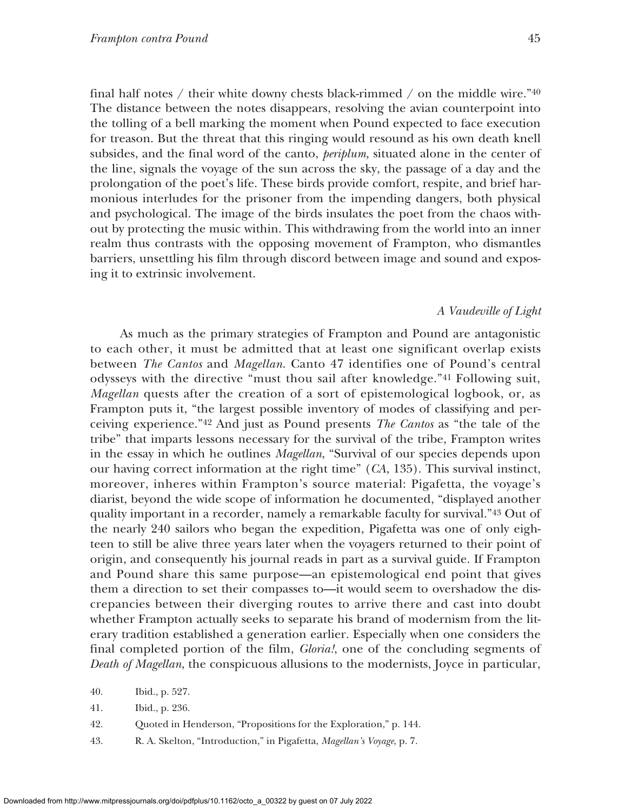final half notes / their white downy chests black-rimmed / on the middle wire." $40$ The distance between the notes disappears, resolving the avian counterpoint into the tolling of a bell marking the moment when Pound expected to face execution for treason. But the threat that this ringing would resound as his own death knell subsides, and the final word of the canto, *periplum,* situated alone in the center of the line, signals the voyage of the sun across the sky, the passage of a day and the prolongation of the poet's life. These birds provide comfort, respite, and brief harmonious interludes for the prisoner from the impending dangers, both physical and psychological. The image of the birds insulates the poet from the chaos without by protecting the music within. This withdrawing from the world into an inner realm thus contrasts with the opposing movement of Frampton, who dismantles barriers, unsettling his film through discord between image and sound and exposing it to extrinsic involvement.

## *A Vaudeville of Light*

As much as the primary strategies of Frampton and Pound are antagonistic to each other, it must be admitted that at least one significant overlap exists between *The Cantos* and *Magellan*. Canto 47 identifies one of Pound's central odysseys with the directive "must thou sail after knowledge."41 Following suit, *Magellan* quests after the creation of a sort of epistemological logbook, or, as Frampton puts it, "the largest possible inventory of modes of classifying and perceiving experience."42 And just as Pound presents *The Cantos* as "the tale of the tribe" that imparts lessons necessary for the survival of the tribe, Frampton writes in the essay in which he outlines *Magellan*, "Survival of our species depends upon our having correct information at the right time" (*CA*, 135). This survival instinct, moreover, inheres within Frampton's source material: Pigafetta, the voyage's diarist, beyond the wide scope of information he documented, "displayed another quality important in a recorder, namely a remarkable faculty for survival."43 Out of the nearly 240 sailors who began the expedition, Pigafetta was one of only eighteen to still be alive three years later when the voyagers returned to their point of origin, and consequently his journal reads in part as a survival guide. If Frampton and Pound share this same purpose—an epistemological end point that gives them a direction to set their compasses to—it would seem to overshadow the discrepancies between their diverging routes to arrive there and cast into doubt whether Frampton actually seeks to separate his brand of modernism from the literary tradition established a generation earlier. Especially when one considers the final completed portion of the film, *Gloria!*, one of the concluding segments of *Death of Magellan*, the conspicuous allusions to the modernists, Joyce in particular,

- 41. Ibid., p. 236.
- 42. Quoted in Henderson, "Propositions for the Exploration," p. 144.
- 43. R. A. Skelton, "Introduction," in Pigafetta, *Magellan's Voyage*, p. 7.

<sup>40.</sup> Ibid., p. 527.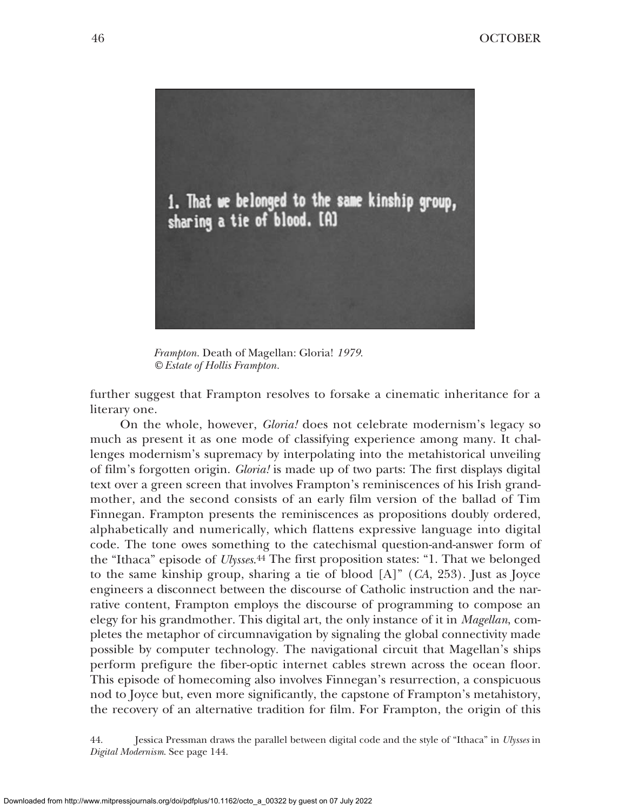

*Frampton.* Death of Magellan: Gloria! *1979. © Estate of Hollis Frampton.*

further suggest that Frampton resolves to forsake a cinematic inheritance for a literary one.

On the whole, however, *Gloria!* does not celebrate modernism's legacy so much as present it as one mode of classifying experience among many. It challenges modernism's supremacy by interpolating into the metahistorical unveiling of film's forgotten origin. *Gloria!* is made up of two parts: The first displays digital text over a green screen that involves Frampton's reminiscences of his Irish grandmother, and the second consists of an early film version of the ballad of Tim Finnegan. Frampton presents the reminiscences as propositions doubly ordered, alphabetically and numerically, which flattens expressive language into digital code. The tone owes something to the catechismal question-and-answer form of the "Ithaca" episode of *Ulysses*.44 The first proposition states: "1. That we belonged to the same kinship group, sharing a tie of blood [A]" (*CA*, 253). Just as Joyce engineers a disconnect between the discourse of Catholic instruction and the narrative content, Frampton employs the discourse of programming to compose an elegy for his grandmother. This digital art, the only instance of it in *Magellan*, completes the metaphor of circumnavigation by signaling the global connectivity made possible by computer technology. The navigational circuit that Magellan's ships perform prefigure the fiber-optic internet cables strewn across the ocean floor. This episode of homecoming also involves Finnegan's resurrection, a conspicuous nod to Joyce but, even more significantly, the capstone of Frampton's metahistory, the recovery of an alternative tradition for film. For Frampton, the origin of this

44. Jessica Pressman draws the parallel between digital code and the style of "Ithaca" in *Ulysses* in *Digital Modernism*. See page 144.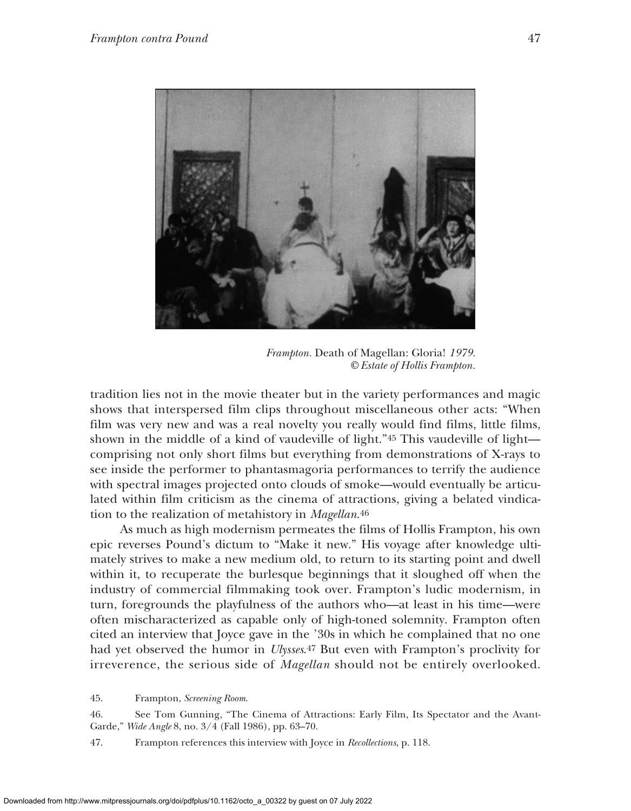

*Frampton.* Death of Magellan: Gloria! *1979. © Estate of Hollis Frampton.*

tradition lies not in the movie theater but in the variety performances and magic shows that interspersed film clips throughout miscellaneous other acts: "When film was very new and was a real novelty you really would find films, little films, shown in the middle of a kind of vaudeville of light."45 This vaudeville of light comprising not only short films but everything from demonstrations of X-rays to see inside the performer to phantasmagoria performances to terrify the audience with spectral images projected onto clouds of smoke—would eventually be articulated within film criticism as the cinema of attractions, giving a belated vindication to the realization of metahistory in *Magellan*.46

As much as high modernism permeates the films of Hollis Frampton, his own epic reverses Pound's dictum to "Make it new." His voyage after knowledge ultimately strives to make a new medium old, to return to its starting point and dwell within it, to recuperate the burlesque beginnings that it sloughed off when the industry of commercial filmmaking took over. Frampton's ludic modernism, in turn, foregrounds the playfulness of the authors who—at least in his time—were often mischaracterized as capable only of high-toned solemnity. Frampton often cited an interview that Joyce gave in the '30s in which he complained that no one had yet observed the humor in *Ulysses*.47 But even with Frampton's proclivity for irreverence, the serious side of *Magellan* should not be entirely overlooked.

45. Frampton, *Screening Room*.

46. See Tom Gunning, "The Cinema of Attractions: Early Film, Its Spectator and the Avant-Garde," *Wide Angle* 8, no. 3/4 (Fall 1986), pp. 63–70.

47. Frampton references this interview with Joyce in *Recollections*, p. 118.